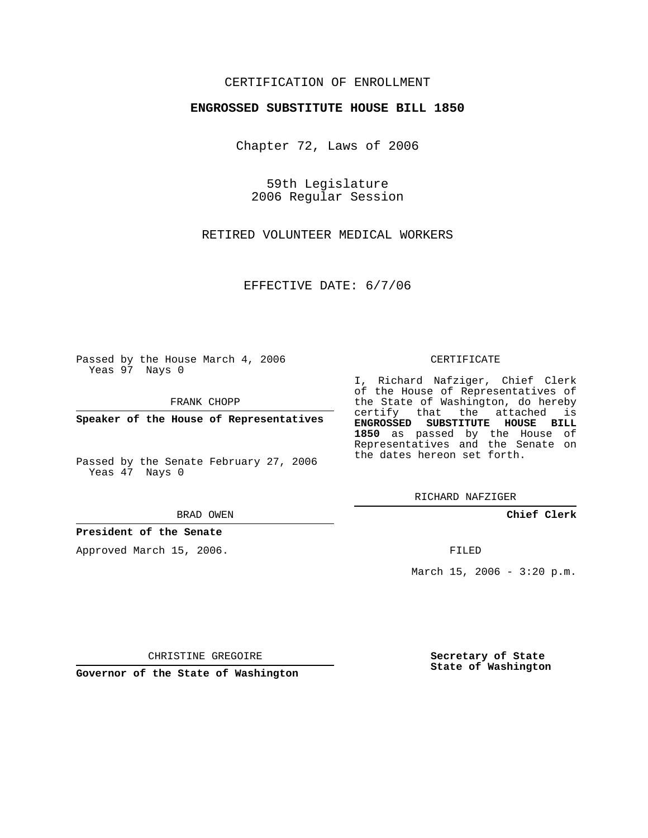## CERTIFICATION OF ENROLLMENT

## **ENGROSSED SUBSTITUTE HOUSE BILL 1850**

Chapter 72, Laws of 2006

59th Legislature 2006 Regular Session

RETIRED VOLUNTEER MEDICAL WORKERS

EFFECTIVE DATE: 6/7/06

Passed by the House March 4, 2006 Yeas 97 Nays 0

FRANK CHOPP

**Speaker of the House of Representatives**

Passed by the Senate February 27, 2006 Yeas 47 Nays 0

BRAD OWEN

**President of the Senate**

Approved March 15, 2006.

CERTIFICATE

I, Richard Nafziger, Chief Clerk of the House of Representatives of the State of Washington, do hereby certify that the attached is **ENGROSSED SUBSTITUTE HOUSE BILL 1850** as passed by the House of Representatives and the Senate on the dates hereon set forth.

RICHARD NAFZIGER

**Chief Clerk**

FILED

March 15, 2006 -  $3:20$  p.m.

CHRISTINE GREGOIRE

**Governor of the State of Washington**

**Secretary of State State of Washington**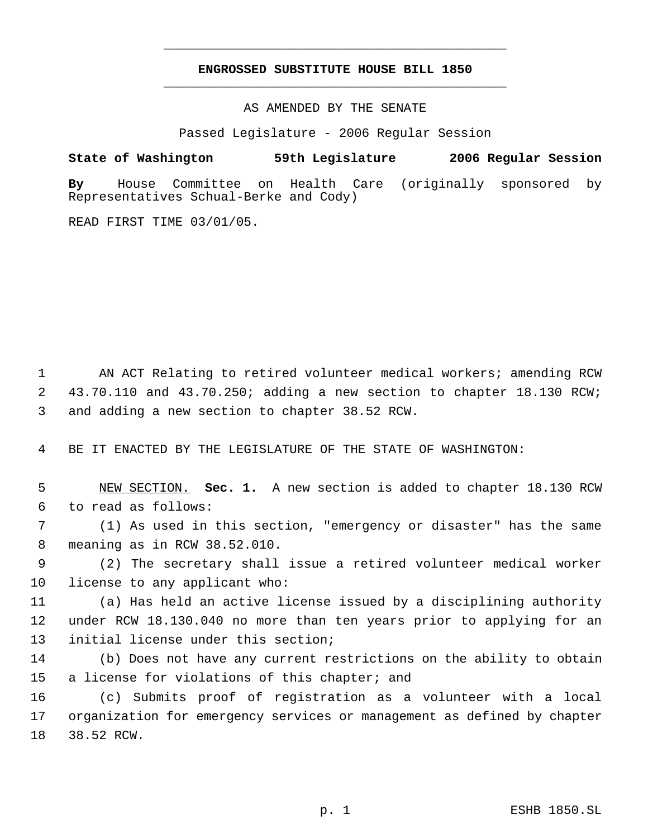## **ENGROSSED SUBSTITUTE HOUSE BILL 1850** \_\_\_\_\_\_\_\_\_\_\_\_\_\_\_\_\_\_\_\_\_\_\_\_\_\_\_\_\_\_\_\_\_\_\_\_\_\_\_\_\_\_\_\_\_

\_\_\_\_\_\_\_\_\_\_\_\_\_\_\_\_\_\_\_\_\_\_\_\_\_\_\_\_\_\_\_\_\_\_\_\_\_\_\_\_\_\_\_\_\_

AS AMENDED BY THE SENATE

Passed Legislature - 2006 Regular Session

**State of Washington 59th Legislature 2006 Regular Session**

**By** House Committee on Health Care (originally sponsored by Representatives Schual-Berke and Cody)

READ FIRST TIME 03/01/05.

 AN ACT Relating to retired volunteer medical workers; amending RCW 43.70.110 and 43.70.250; adding a new section to chapter 18.130 RCW; and adding a new section to chapter 38.52 RCW.

BE IT ENACTED BY THE LEGISLATURE OF THE STATE OF WASHINGTON:

 NEW SECTION. **Sec. 1.** A new section is added to chapter 18.130 RCW to read as follows:

 (1) As used in this section, "emergency or disaster" has the same meaning as in RCW 38.52.010.

 (2) The secretary shall issue a retired volunteer medical worker license to any applicant who:

 (a) Has held an active license issued by a disciplining authority under RCW 18.130.040 no more than ten years prior to applying for an initial license under this section;

 (b) Does not have any current restrictions on the ability to obtain 15 a license for violations of this chapter; and

 (c) Submits proof of registration as a volunteer with a local organization for emergency services or management as defined by chapter 38.52 RCW.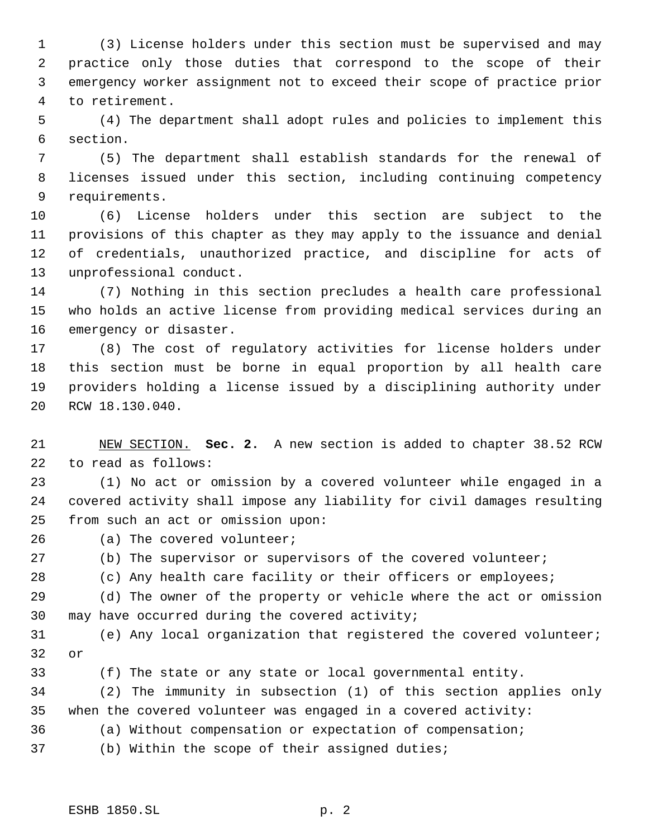(3) License holders under this section must be supervised and may practice only those duties that correspond to the scope of their emergency worker assignment not to exceed their scope of practice prior to retirement.

 (4) The department shall adopt rules and policies to implement this section.

 (5) The department shall establish standards for the renewal of licenses issued under this section, including continuing competency requirements.

 (6) License holders under this section are subject to the provisions of this chapter as they may apply to the issuance and denial of credentials, unauthorized practice, and discipline for acts of unprofessional conduct.

 (7) Nothing in this section precludes a health care professional who holds an active license from providing medical services during an emergency or disaster.

 (8) The cost of regulatory activities for license holders under this section must be borne in equal proportion by all health care providers holding a license issued by a disciplining authority under RCW 18.130.040.

 NEW SECTION. **Sec. 2.** A new section is added to chapter 38.52 RCW to read as follows:

 (1) No act or omission by a covered volunteer while engaged in a covered activity shall impose any liability for civil damages resulting from such an act or omission upon:

(a) The covered volunteer;

27 (b) The supervisor or supervisors of the covered volunteer;

(c) Any health care facility or their officers or employees;

 (d) The owner of the property or vehicle where the act or omission may have occurred during the covered activity;

 (e) Any local organization that registered the covered volunteer; or

(f) The state or any state or local governmental entity.

 (2) The immunity in subsection (1) of this section applies only when the covered volunteer was engaged in a covered activity:

- (a) Without compensation or expectation of compensation;
- (b) Within the scope of their assigned duties;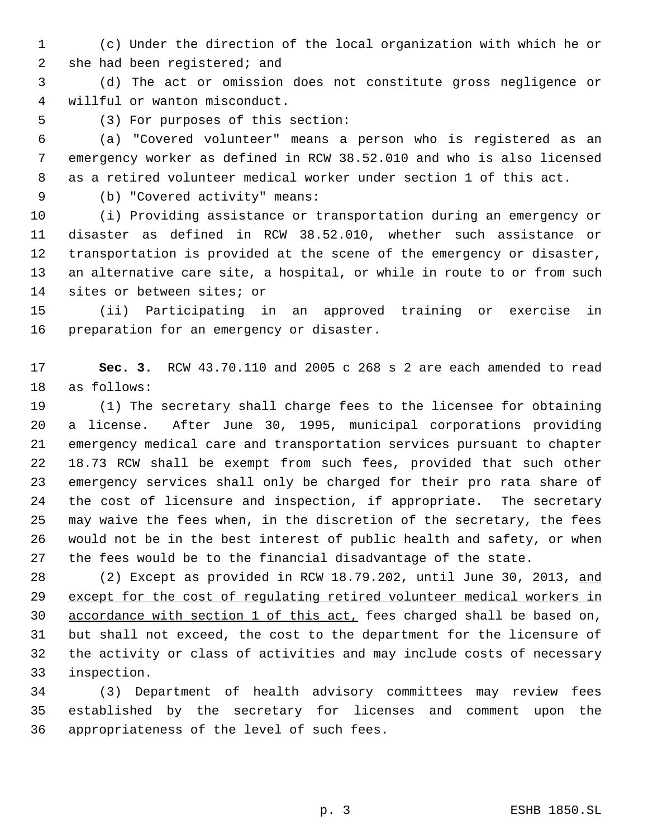- (c) Under the direction of the local organization with which he or she had been registered; and
- (d) The act or omission does not constitute gross negligence or willful or wanton misconduct.
- 

(3) For purposes of this section:

 (a) "Covered volunteer" means a person who is registered as an emergency worker as defined in RCW 38.52.010 and who is also licensed as a retired volunteer medical worker under section 1 of this act.

(b) "Covered activity" means:

 (i) Providing assistance or transportation during an emergency or disaster as defined in RCW 38.52.010, whether such assistance or transportation is provided at the scene of the emergency or disaster, an alternative care site, a hospital, or while in route to or from such sites or between sites; or

 (ii) Participating in an approved training or exercise in preparation for an emergency or disaster.

 **Sec. 3.** RCW 43.70.110 and 2005 c 268 s 2 are each amended to read as follows:

 (1) The secretary shall charge fees to the licensee for obtaining a license. After June 30, 1995, municipal corporations providing emergency medical care and transportation services pursuant to chapter 18.73 RCW shall be exempt from such fees, provided that such other emergency services shall only be charged for their pro rata share of the cost of licensure and inspection, if appropriate. The secretary may waive the fees when, in the discretion of the secretary, the fees would not be in the best interest of public health and safety, or when the fees would be to the financial disadvantage of the state.

28 (2) Except as provided in RCW 18.79.202, until June 30, 2013, and 29 except for the cost of regulating retired volunteer medical workers in accordance with section 1 of this act, fees charged shall be based on, but shall not exceed, the cost to the department for the licensure of the activity or class of activities and may include costs of necessary inspection.

 (3) Department of health advisory committees may review fees established by the secretary for licenses and comment upon the appropriateness of the level of such fees.